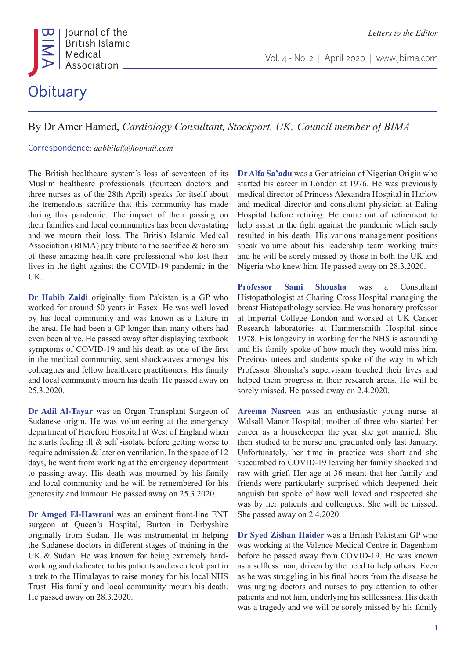

Vol. 4 - No. 2 | April 2020 | www.jbima.com

## By Dr Amer Hamed, *Cardiology Consultant, Stockport, UK; Council member of BIMA*

Correspondence: *aabbilal@hotmail.com* 

The British healthcare system's loss of seventeen of its Muslim healthcare professionals (fourteen doctors and three nurses as of the 28th April) speaks for itself about the tremendous sacrifice that this community has made during this pandemic. The impact of their passing on their families and local communities has been devastating and we mourn their loss. The British Islamic Medical Association (BIMA) pay tribute to the sacrifice & heroism of these amazing health care professional who lost their lives in the fight against the COVID-19 pandemic in the UK.

**Dr Habib Zaidi** originally from Pakistan is a GP who worked for around 50 years in Essex. He was well loved by his local community and was known as a fixture in the area. He had been a GP longer than many others had even been alive. He passed away after displaying textbook symptoms of COVID-19 and his death as one of the first in the medical community, sent shockwaves amongst his colleagues and fellow healthcare practitioners. His family and local community mourn his death. He passed away on 25.3.2020.

**Dr Adil Al-Tayar** was an Organ Transplant Surgeon of Sudanese origin. He was volunteering at the emergency department of Hereford Hospital at West of England when he starts feeling ill & self -isolate before getting worse to require admission & later on ventilation. In the space of 12 days, he went from working at the emergency department to passing away. His death was mourned by his family and local community and he will be remembered for his generosity and humour. He passed away on 25.3.2020.

**Dr Amged El-Hawrani** was an eminent front-line ENT surgeon at Queen's Hospital, Burton in Derbyshire originally from Sudan. He was instrumental in helping the Sudanese doctors in different stages of training in the UK & Sudan. He was known for being extremely hardworking and dedicated to his patients and even took part in a trek to the Himalayas to raise money for his local NHS Trust. His family and local community mourn his death. He passed away on 28.3.2020.

**Dr Alfa Sa'adu** was a Geriatrician of Nigerian Origin who started his career in London at 1976. He was previously medical director of Princess Alexandra Hospital in Harlow and medical director and consultant physician at Ealing Hospital before retiring. He came out of retirement to help assist in the fight against the pandemic which sadly resulted in his death. His various management positions speak volume about his leadership team working traits and he will be sorely missed by those in both the UK and Nigeria who knew him. He passed away on 28.3.2020.

**Professor Sami Shousha** was a Consultant Histopathologist at Charing Cross Hospital managing the breast Histopathology service. He was honorary professor at Imperial College London and worked at UK Cancer Research laboratories at Hammersmith Hospital since 1978. His longevity in working for the NHS is astounding and his family spoke of how much they would miss him. Previous tutees and students spoke of the way in which Professor Shousha's supervision touched their lives and helped them progress in their research areas. He will be sorely missed. He passed away on 2.4.2020.

**Areema Nasreen** was an enthusiastic young nurse at Walsall Manor Hospital; mother of three who started her career as a housekeeper the year she got married. She then studied to be nurse and graduated only last January. Unfortunately, her time in practice was short and she succumbed to COVID-19 leaving her family shocked and raw with grief. Her age at 36 meant that her family and friends were particularly surprised which deepened their anguish but spoke of how well loved and respected she was by her patients and colleagues. She will be missed. She passed away on 2.4.2020.

**Dr Syed Zishan Haider** was a British Pakistani GP who was working at the Valence Medical Centre in Dagenham before he passed away from COVID-19. He was known as a selfless man, driven by the need to help others. Even as he was struggling in his final hours from the disease he was urging doctors and nurses to pay attention to other patients and not him, underlying his selflessness. His death was a tragedy and we will be sorely missed by his family